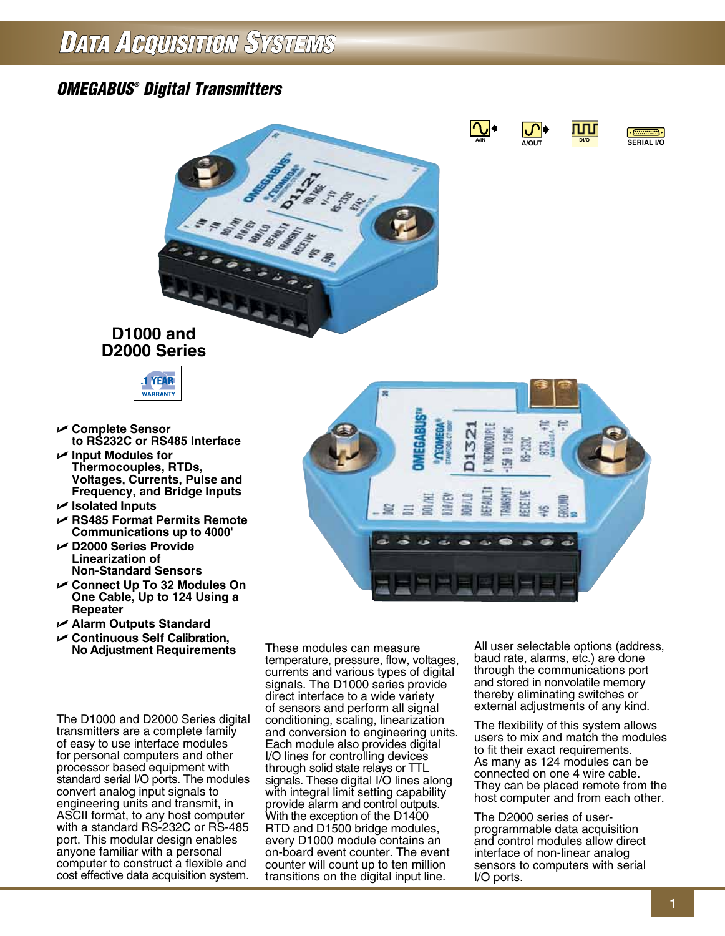## *OMEGABUS ® Digital Transmitters*







## **D1000 and D2000 Series**



- U **Complete Sensor to RS232C or RS485 Interface**
- U **Input Modules for Thermocouples, RTDs, Voltages, Currents, Pulse and Frequency, and Bridge Inputs**
- U **Isolated Inputs**
- U **RS485 Format Permits Remote Communications up to 4000'**
- U **D2000 Series Provide Linearization of Non-Standard Sensors**
- U **Connect Up To 32 Modules On One Cable, Up to 124 Using a Repeater**
- U **Alarm Outputs Standard**
- U **Continuous Self Calibration, No Adjustment Requirements**

The D1000 and D2000 Series digital transmitters are a complete family of easy to use interface modules for personal computers and other processor based equipment with standard serial I/O ports. The modules convert analog input signals to engineering units and transmit, in ASCII format, to any host computer with a standard RS-232C or RS-485 port. This modular design enables anyone familiar with a personal computer to construct a flexible and cost effective data acquisition system.

These modules can measure temperature, pressure, flow, voltages, currents and various types of digital signals. The D1000 series provide direct interface to a wide variety of sensors and perform all signal conditioning, scaling, linearization and conversion to engineering units. Each module also provides digital I/O lines for controlling devices through solid state relays or TTL signals. These digital I/O lines along with integral limit setting capability provide alarm and control outputs. With the exception of the D1400 RTD and D1500 bridge modules, every D1000 module contains an on-board event counter. The event counter will count up to ten million transitions on the digital input line.

All user selectable options (address, baud rate, alarms, etc.) are done through the communications port and stored in nonvolatile memory thereby eliminating switches or external adjustments of any kind.

The flexibility of this system allows users to mix and match the modules to fit their exact requirements. As many as 124 modules can be connected on one 4 wire cable. They can be placed remote from the host computer and from each other.

The D2000 series of userprogrammable data acquisition and control modules allow direct interface of non-linear analog sensors to computers with serial I/O ports.

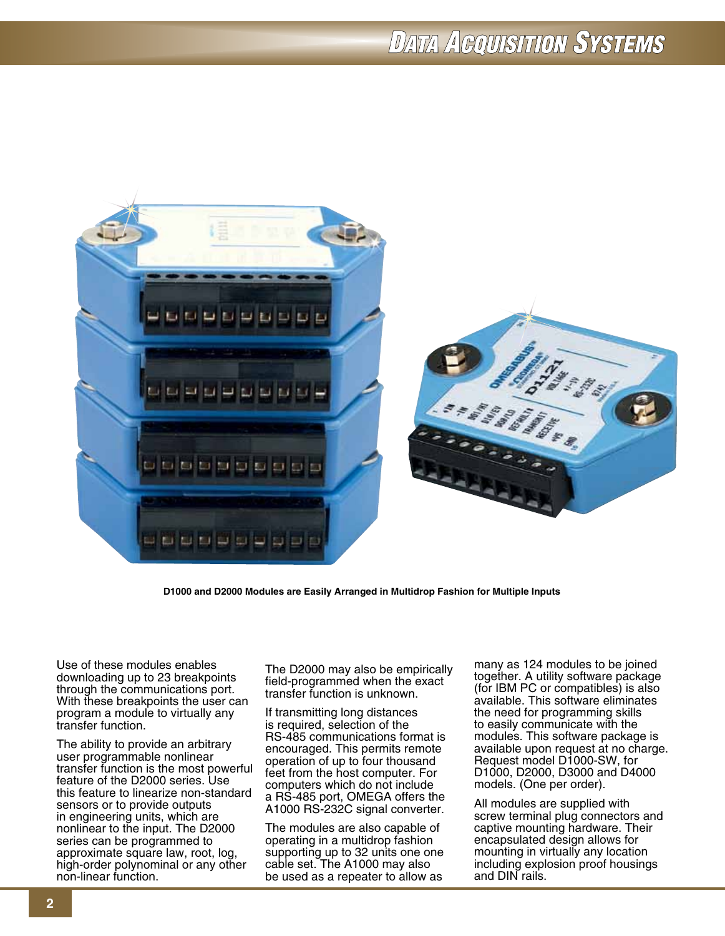

**D1000 and D2000 Modules are Easily Arranged in Multidrop Fashion for Multiple Inputs**

Use of these modules enables downloading up to 23 breakpoints through the communications port. With these breakpoints the user can program a module to virtually any transfer function.

The ability to provide an arbitrary user programmable nonlinear transfer function is the most powerful feature of the D2000 series. Use this feature to linearize non-standard sensors or to provide outputs in engineering units, which are nonlinear to the input. The D2000 series can be programmed to approximate square law, root, log, high-order polynominal or any other non-linear function.

The D2000 may also be empirically field-programmed when the exact transfer function is unknown.

If transmitting long distances is required, selection of the RS-485 communications format is encouraged. This permits remote operation of up to four thousand feet from the host computer. For computers which do not include a RS-485 port, OMEGA offers the A1000 RS-232C signal converter.

The modules are also capable of operating in a multidrop fashion supporting up to 32 units one one cable set. The A1000 may also be used as a repeater to allow as

many as 124 modules to be joined together. A utility software package (for IBM PC or compatibles) is also available. This software eliminates the need for programming skills to easily communicate with the modules. This software package is available upon request at no charge. Request model D1000-SW, for D1000, D2000, D3000 and D4000 models. (One per order).

All modules are supplied with screw terminal plug connectors and captive mounting hardware. Their encapsulated design allows for mounting in virtually any location including explosion proof housings and DIN rails.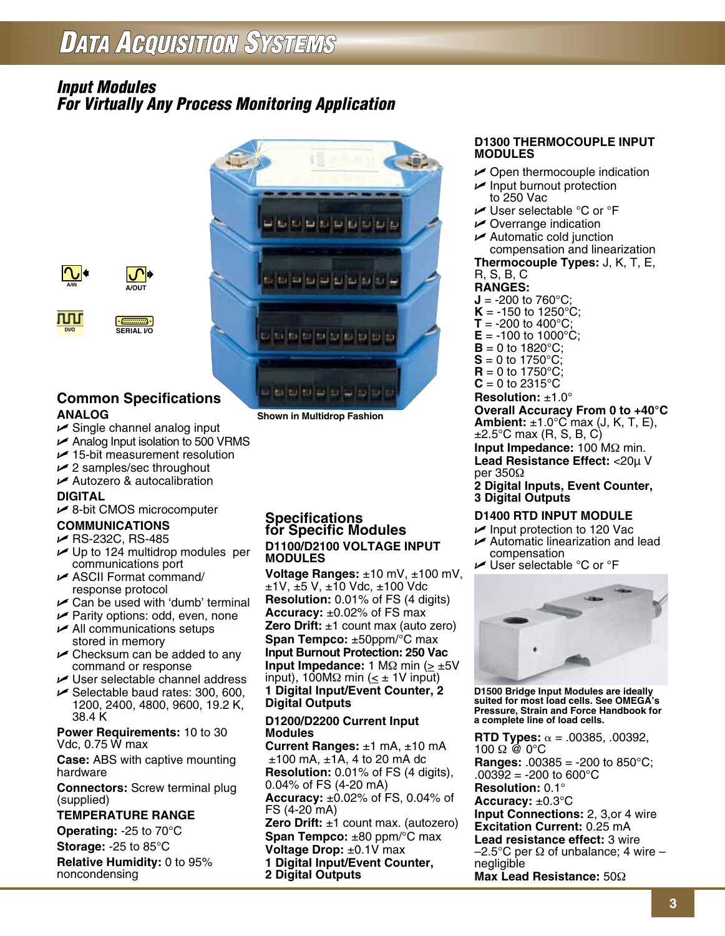### *Input Modules For Virtually Any Process Monitoring Application*



**Shown in Multidrop Fashion**



௱௱

 $\cdot$   $\left[\ldots\right]$ . **DI/O SERIAL I/O**

#### **Common Specifications ANALOG**

 $\overline{\mathcal{C}}$ 

- $\triangleright$  Single channel analog input
- $\triangleright$  Analog Input isolation to 500 VRMS
- $15$ -bit measurement resolution
- $\swarrow$  2 samples/sec throughout
- $\triangleright$  Autozero & autocalibration

#### **DIGITAL**

 $\nu$  8-bit CMOS microcomputer

#### **COMMUNICATIONS**

- $\blacktriangleright$  RS-232C, RS-485
- $\nu$  Up to 124 multidrop modules per communications port
- $\triangleright$  ASCII Format command/ response protocol
- $\sqrt{\phantom{a}}$  Can be used with 'dumb' terminal
- $\blacktriangleright$  Parity options: odd, even, none
- $\blacktriangleright$  All communications setups stored in memory
- $\triangleright$  Checksum can be added to any command or response
- $\triangleright$  User selectable channel address
- $\blacktriangleright$  Selectable baud rates: 300, 600, 1200, 2400, 4800, 9600, 19.2 K, 38.4 K

**Power Requirements:** 10 to 30 Vdc, 0.75 W max

**Case:** ABS with captive mounting hardware

**Connectors:** Screw terminal plug (supplied)

#### **TEMPERATURE RANGE**

**Operating:** -25 to 70°C

**Storage:** -25 to 85°C **Relative Humidity:** 0 to 95%

noncondensing

#### **Specifications for Specific Modules D1100/D2100 VOLTAGE INPUT MODULES**

**Voltage Ranges:** ±10 mV, ±100 mV, ±1V, ±5 V, ±10 Vdc, ±100 Vdc **Resolution:** 0.01% of FS (4 digits) **Accuracy:** ±0.02% of FS max **Zero Drift:** ±1 count max (auto zero) **Span Tempco:** ±50ppm/°C max **Input Burnout Protection: 250 Vac Input Impedance: 1 MΩ min (> ±5V** input), 100MΩ min ( $\leq \pm$  1V input) **1 Digital Input/Event Counter, 2 Digital Outputs**

#### **D1200/D2200 Current Input Modules**

**Current Ranges:** ±1 mA, ±10 mA  $±100$  mA,  $±1A$ , 4 to 20 mA dc **Resolution:** 0.01% of FS (4 digits), 0.04% of FS (4-20 mA) **Accuracy:** ±0.02% of FS, 0.04% of FS (4-20 mA) **Zero Drift:** ±1 count max. (autozero) **Span Tempco:** ±80 ppm/°C max **Voltage Drop:** ±0.1V max **1 Digital Input/Event Counter, 2 Digital Outputs**

#### **D1300 THERMOCOUPLE INPUT MODULES**

- $\triangleright$  Open thermocouple indication
- $\nu$  Input burnout protection to 250 Vac
- $\blacktriangleright$  User selectable °C or °F
- $\triangleright$  Overrange indication
- $\triangleright$  Automatic cold junction compensation and linearization

#### **Thermocouple Types:** J, K, T, E, R, S, B, C

- **RANGES:**
- **J** = -200 to 760°C;  $K = -150$  to 1250°C;
- **T** = -200 to 400 $^{\circ}$ C;
- $E = -100$  to  $1000^{\circ}$ C;
- **to 1820** $^{\circ}$ **C;**
- $S = 0$  to 1750 $^{\circ}$ C;
- **to 1750** $^{\circ}$ **C:**
- $C = 0$  to 2315 $^{\circ}$ C

#### **Resolution:** ±1.0°

**Overall Accuracy From 0 to +40°C Ambient:** ±1.0°C max (J, K, T, E),  $\pm$ 2.5°C max (R, S, B, C) **Input Impedance:** 100 MΩ min. **Lead Resistance Effect:** <20µ V

per 350Ω

**2 Digital Inputs, Event Counter, 3 Digital Outputs**

#### **D1400 RTD INPUT MODULE**

- $\blacktriangleright$  Input protection to 120 Vac  $\blacktriangleright$  Automatic linearization and lead
- compensation  $\blacktriangleright$  User selectable °C or °F



**D1500 Bridge Input Modules are ideally suited for most load cells. See OMEGA's Pressure, Strain and Force Handbook for a complete line of load cells.**

**RTD Types:**  $\alpha$  = .00385, .00392,  $100 \Omega \ @ 0\degree C$ **Ranges:** .00385 = -200 to 850°C;  $.003\overline{9}2 = -200$  to 600°C **Resolution:** 0.1° **Accuracy:** ±0.3°C **Input Connections:** 2, 3,or 4 wire **Excitation Current:** 0.25 mA **Lead resistance effect:** 3 wire  $-2.5^{\circ}$ C per Ω of unbalance; 4 wire – negligible **Max Lead Resistance:** 50Ω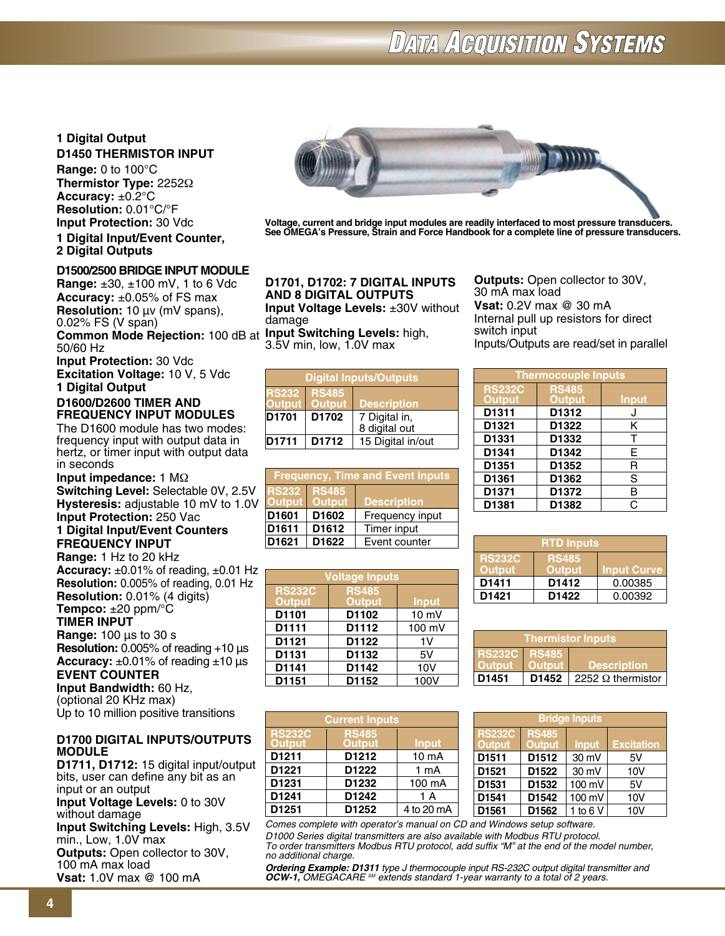#### **1 Digital Output D1450 THERMISTOR INPUT**

**Range:** 0 to 100°C **Thermistor Type:** 2252Ω **Accuracy:** ±0.2°C **Resolution:** 0.01°C/°F **Input Protection:** 30 Vdc **1 Digital Input/Event Counter,** 

## **2 Digital Outputs**

#### **D1500/2500 BRIDGE INPUT MODULE**

**Range:** ±30, ±100 mV, 1 to 6 Vdc **Accuracy:** ±0.05% of FS max **Resolution:** 10 µv (mV spans), 0.02% FS (V span)

**Common Mode Rejection:** 100 dB at **Input Switching Levels:** high, 50/60 Hz

**Input Protection:** 30 Vdc **Excitation Voltage:** 10 V, 5 Vdc **1 Digital Output**

#### **D1600/D2600 TIMER AND FREQUENCY INPUT MODULES**

The D1600 module has two modes: frequency input with output data in hertz, or timer input with output data in seconds

**Input impedance:** 1 MΩ **Switching Level:** Selectable 0V, 2.5V **Hysteresis:** adjustable 10 mV to 1.0V **Input Protection:** 250 Vac

**1 Digital Input/Event Counters FREQUENCY INPUT** 

**Range:** 1 Hz to 20 kHz **Accuracy:** ±0.01% of reading, ±0.01 Hz **Resolution:** 0.005% of reading, 0.01 Hz **Resolution:** 0.01% (4 digits) **Tempco:** ±20 ppm/°C

**TIMER INPUT** 

**Range:** 100 µs to 30 s

**Resolution:** 0.005% of reading +10 µs Accuracy:  $\pm 0.01\%$  of reading  $\pm 10$  us

**EVENT COUNTER**

**Input Bandwidth:** 60 Hz, (optional 20 KHz max) Up to 10 million positive transitions

#### **D1700 DIGITAL INPUTS/OUTPUTS MODULE**

**D1711, D1712:** 15 digital input/output bits, user can define any bit as an input or an output **Input Voltage Levels:** 0 to 30V without damage **Input Switching Levels:** High, 3.5V min., Low, 1.0V max

**Outputs:** Open collector to 30V, 100 mA max load **Vsat:** 1.0V max @ 100 mA



**Voltage, current and bridge input modules are readily interfaced to most pressure transducers. See OMEGA's Pressure, Strain and Force Handbook for a complete line of pressure transducers.**

**D1701, D1702: 7 digital inputs and 8 digital outputs Input Voltage Levels:** ±30V without damage

3.5V min, low, 1.0V max

| <b>Digital Inputs/Outputs</b>                          |                                                     |                                |  |
|--------------------------------------------------------|-----------------------------------------------------|--------------------------------|--|
| <b>RS232</b><br><b>Output</b>                          | <b>RS485</b><br><b>Qutput</b><br><b>Description</b> |                                |  |
| D <sub>1701</sub><br>D1702                             |                                                     | 7 Digital in,<br>8 digital out |  |
| <b>D1711</b><br>15 Digital in/out<br>D <sub>1712</sub> |                                                     |                                |  |

| <b>Frequency, Time and Event Inputs</b>                                              |                   |                 |
|--------------------------------------------------------------------------------------|-------------------|-----------------|
| <b>RS232</b><br><b>RS485</b><br><b>Output</b><br><b>Output</b><br><b>Description</b> |                   |                 |
| D1601                                                                                | D <sub>1602</sub> | Frequency input |
| D1611<br>Timer input<br>D <sub>1612</sub>                                            |                   |                 |
| D <sub>1621</sub>                                                                    | D <sub>1622</sub> | Event counter   |

| <b>Voltage Inputs</b>          |              |        |  |
|--------------------------------|--------------|--------|--|
| <b>RS232C</b><br><b>Output</b> | <b>Input</b> |        |  |
| D1101                          | D1102        | 10 mV  |  |
| D1111                          | D1112        | 100 mV |  |
| D1121                          | D1122        | 1V     |  |
| D1131                          | D1132        | 5V     |  |
| D1141                          | D1142        | 10V    |  |
| D1151                          | D1152        | 100V   |  |

| <b>Current Inputs</b>          |                               |              |  |
|--------------------------------|-------------------------------|--------------|--|
| <b>RS232C</b><br><b>Output</b> | <b>RS485</b><br><b>Output</b> | <b>Input</b> |  |
| D1211                          | D1212                         | 10 mA        |  |
| D1221                          | D1222                         | 1 mA         |  |
| D1231                          | D1232                         | 100 mA       |  |
| D1241                          | D1242                         | 1 A          |  |
| D1251                          | D <sub>1252</sub>             | 4 to 20 mA   |  |

*Comes complete with operator's manual on CD and Windows setup software. D1000 Series digital transmitters are also available with Modbus RTU protocol. To order transmitters Modbus RTU protocol, add suffix "M" at the end of the model number, no additional charge.*

*Ordering Example: D1311 type J thermocouple input RS-232C output digital transmitter and OCW-1, OMEGACARE SM extends standard 1-year warranty to a total of 2 years.*

**Outputs:** Open collector to 30V, 30 mA max load **Vsat:** 0.2V max @ 30 mA Internal pull up resistors for direct switch input Inputs/Outputs are read/set in parallel

| <b>Thermocouple Inputs</b>     |                               |              |  |
|--------------------------------|-------------------------------|--------------|--|
| <b>RS232C</b><br><b>Output</b> | <b>RS485</b><br><b>Output</b> | <b>Input</b> |  |
| D1311                          | D1312                         | J            |  |
| D1321                          | D1322                         | Κ            |  |
| D1331                          | D1332                         | T            |  |
| D1341                          | D1342                         | E            |  |
| D1351                          | D1352                         | R            |  |
| D1361                          | D1362                         | S            |  |
| D1371                          | D1372                         | в            |  |
| D1381                          | D1382                         | C            |  |

| <b>RTD Inputs</b>                                                                     |                   |         |  |
|---------------------------------------------------------------------------------------|-------------------|---------|--|
| <b>RS232C</b><br><b>RS485</b><br><b>Output</b><br><b>Output</b><br><b>Input Curve</b> |                   |         |  |
| D1411                                                                                 | D <sub>1412</sub> | 0.00385 |  |
| D1421                                                                                 | D <sub>1422</sub> | 0.00392 |  |

| <b>Thermistor Inputs</b>                   |                                                            |  |  |  |
|--------------------------------------------|------------------------------------------------------------|--|--|--|
| <b>Output</b>                              | <b>RS232C RS485</b><br><b>Output</b><br><b>Description</b> |  |  |  |
| D1451<br>D1452<br>2252 $\Omega$ thermistor |                                                            |  |  |  |

| <b>Bridge Inputs</b>           |                               |              |                   |
|--------------------------------|-------------------------------|--------------|-------------------|
| <b>RS232C</b><br><b>Output</b> | <b>RS485</b><br><b>Output</b> | <b>Input</b> | <b>Excitation</b> |
| D <sub>1511</sub>              | D <sub>1512</sub>             | 30 mV        | 5V                |
| D <sub>1521</sub>              | D <sub>1522</sub>             | 30 mV        | 10V               |
| D <sub>1531</sub>              | D <sub>1532</sub>             | 100 mV       | 5V                |
| D <sub>1541</sub>              | D1542                         | 100 mV       | 10V               |
| D1561                          | D1562                         | 1 to 6 $V$   | 10V               |